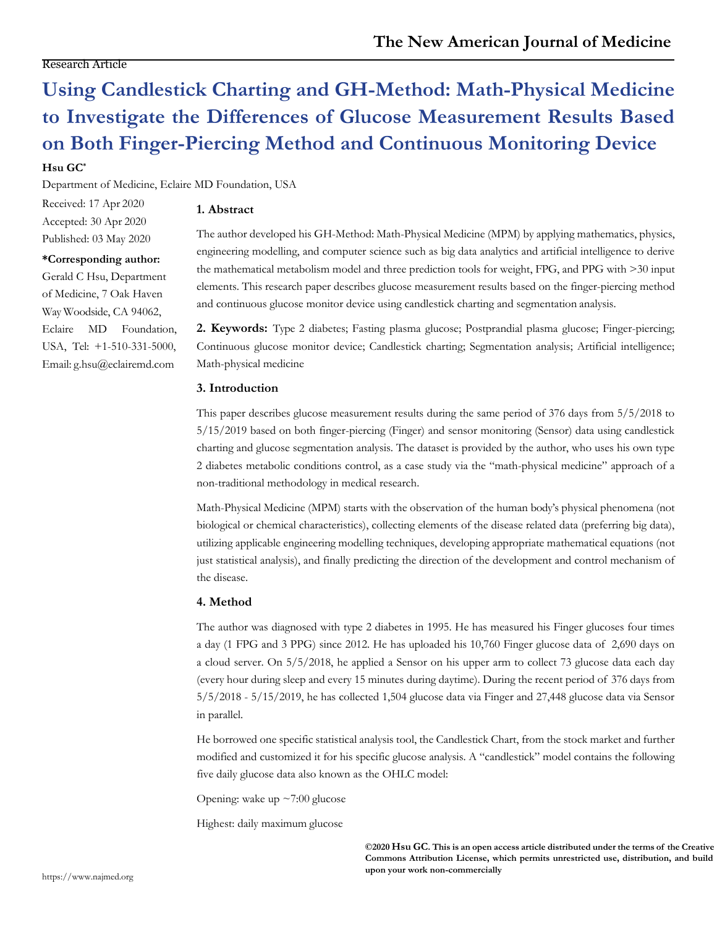# **Using Candlestick Charting and GH-Method: Math-Physical Medicine to Investigate the Differences of Glucose Measurement Results Based on Both Finger-Piercing Method and Continuous Monitoring Device**

## **Hsu GC\***

Department of Medicine, Eclaire MD Foundation, USA

Received: 17 Apr 2020 Accepted: 30 Apr 2020 Published: 03 May 2020

## **\*Corresponding author:**

Gerald C Hsu, Department of Medicine, 7 Oak Haven Way Woodside, CA 94062, Eclaire MD Foundation, USA, Tel: +1-510-331-5000, Email: [g.hsu@eclairemd.com](mailto:g.hsu@eclairemd.com)

# **1. Abstract**

The author developed his GH-Method: Math-Physical Medicine (MPM) by applying mathematics, physics, engineering modelling, and computer science such as big data analytics and artificial intelligence to derive the mathematical metabolism model and three prediction tools for weight, FPG, and PPG with >30 input elements. This research paper describes glucose measurement results based on the finger-piercing method and continuous glucose monitor device using candlestick charting and segmentation analysis.

**2. Keywords:** Type 2 diabetes; Fasting plasma glucose; Postprandial plasma glucose; Finger-piercing; Continuous glucose monitor device; Candlestick charting; Segmentation analysis; Artificial intelligence; Math-physical medicine

## **3. Introduction**

This paper describes glucose measurement results during the same period of 376 days from 5/5/2018 to 5/15/2019 based on both finger-piercing (Finger) and sensor monitoring (Sensor) data using candlestick charting and glucose segmentation analysis. The dataset is provided by the author, who uses his own type 2 diabetes metabolic conditions control, as a case study via the "math-physical medicine" approach of a non-traditional methodology in medical research.

Math-Physical Medicine (MPM) starts with the observation of the human body's physical phenomena (not biological or chemical characteristics), collecting elements of the disease related data (preferring big data), utilizing applicable engineering modelling techniques, developing appropriate mathematical equations (not just statistical analysis), and finally predicting the direction of the development and control mechanism of the disease.

#### **4. Method**

The author was diagnosed with type 2 diabetes in 1995. He has measured his Finger glucoses four times a day (1 FPG and 3 PPG) since 2012. He has uploaded his 10,760 Finger glucose data of 2,690 days on a cloud server. On 5/5/2018, he applied a Sensor on his upper arm to collect 73 glucose data each day (every hour during sleep and every 15 minutes during daytime). During the recent period of 376 days from 5/5/2018 - 5/15/2019, he has collected 1,504 glucose data via Finger and 27,448 glucose data via Sensor in parallel.

He borrowed one specific statistical analysis tool, the Candlestick Chart, from the stock market and further modified and customized it for his specific glucose analysis. A "candlestick" model contains the following five daily glucose data also known as the OHLC model:

Opening: wake up ~7:00 glucose

Highest: daily maximum glucose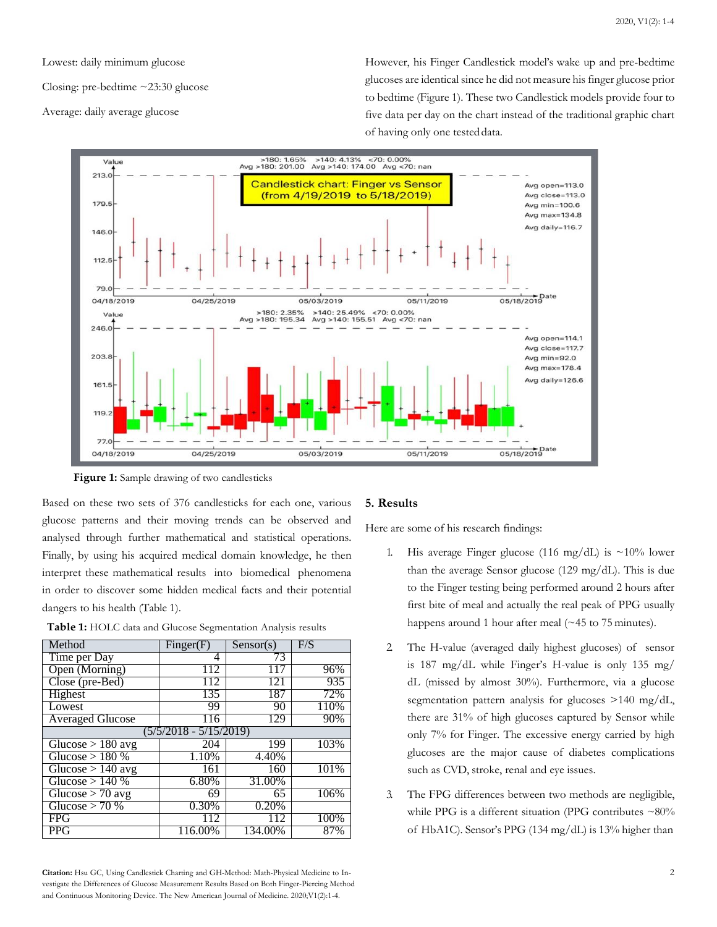Lowest: daily minimum glucose

Closing: pre-bedtime ~23:30 glucose

Average: daily average glucose

However, his Finger Candlestick model's wake up and pre-bedtime glucoses are identical since he did not measure his finger glucose prior to bedtime (Figure 1). These two Candlestick models provide four to five data per day on the chart instead of the traditional graphic chart of having only one testeddata.



 **Figure 1:** Sample drawing of two candlesticks

Based on these two sets of 376 candlesticks for each one, various glucose patterns and their moving trends can be observed and analysed through further mathematical and statistical operations. Finally, by using his acquired medical domain knowledge, he then interpret these mathematical results into biomedical phenomena in order to discover some hidden medical facts and their potential dangers to his health (Table 1).

| Method                  | Finger(F) | Sensor(s) | F/S  |
|-------------------------|-----------|-----------|------|
| Time per Day            | 4         | 73        |      |
| Open (Morning)          | 112       |           | 96%  |
| Close (pre-Bed)         | 112       | 121       | 935  |
| Highest                 | 135       | 187       | 72%  |
| Lowest                  | 99        | 90        | 110% |
| <b>Averaged Glucose</b> | 116       | 129       | 90%  |
| (5/5/2018 - 5/15/2019)  |           |           |      |
| Glucose $> 180$ avg     | 204       | 199       | 103% |
| Glucose $> 180\%$       | 1.10%     | 4.40%     |      |
| Glucose $> 140$ avg     | 161       | 160       | 101% |
| Glucose $> 140%$        | 6.80%     | 31.00%    |      |
| Glucose $> 70$ avg      | 69        | 65        | 106% |
| Glucose $> 70%$         | 0.30%     | 0.20%     |      |
| <b>FPG</b>              | 112       | 112       | 100% |
| <b>PPG</b>              | 116.00%   | 134.00%   | 87%  |

**Table 1:** HOLC data and Glucose Segmentation Analysis results

#### **Citation:** Hsu GC, Using Candlestick Charting and GH-Method: Math-Physical Medicine to In- 2 vestigate the Differences of Glucose Measurement Results Based on Both Finger-Piercing Method and Continuous Monitoring Device. The New American Journal of Medicine. 2020;V1(2):1-4.

#### **5. Results**

Here are some of his research findings:

- 1. His average Finger glucose (116 mg/dL) is  $\sim$ 10% lower than the average Sensor glucose (129 mg/dL). This is due to the Finger testing being performed around 2 hours after first bite of meal and actually the real peak of PPG usually happens around 1 hour after meal (~45 to 75 minutes).
- 2. The H-value (averaged daily highest glucoses) of sensor is 187 mg/dL while Finger's H-value is only 135 mg/ dL (missed by almost 30%). Furthermore, via a glucose segmentation pattern analysis for glucoses >140 mg/dL, there are 31% of high glucoses captured by Sensor while only 7% for Finger. The excessive energy carried by high glucoses are the major cause of diabetes complications such as CVD, stroke, renal and eye issues.
- 3. The FPG differences between two methods are negligible, while PPG is a different situation (PPG contributes ~80% of HbA1C). Sensor's PPG (134 mg/dL) is 13% higher than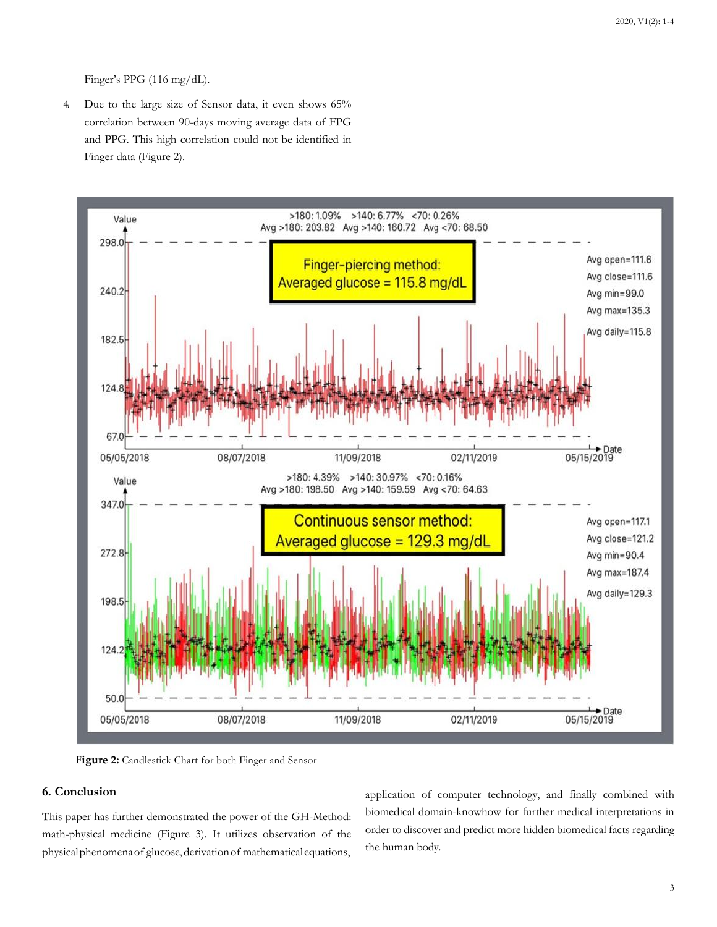Finger's PPG (116 mg/dL).

4. Due to the large size of Sensor data, it even shows 65% correlation between 90-days moving average data of FPG and PPG. This high correlation could not be identified in Finger data (Figure 2).



 **Figure 2:** Candlestick Chart for both Finger and Sensor

# **6. Conclusion**

This paper has further demonstrated the power of the GH-Method: math-physical medicine (Figure 3). It utilizes observation of the physicalphenomenaof glucose,derivationof mathematicalequations,

application of computer technology, and finally combined with biomedical domain-knowhow for further medical interpretations in order to discover and predict more hidden biomedical facts regarding the human body.